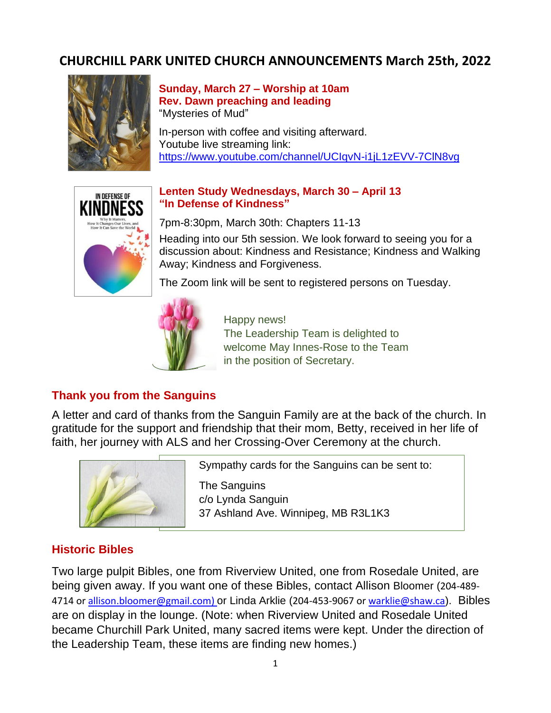# **CHURCHILL PARK UNITED CHURCH ANNOUNCEMENTS March 25th, 2022**



#### **Sunday, March 27 – Worship at 10am Rev. Dawn preaching and leading** "Mysteries of Mud"

In-person with coffee and visiting afterward. Youtube live streaming link: <https://www.youtube.com/channel/UCIqvN-i1jL1zEVV-7ClN8vg>



#### **Lenten Study Wednesdays, March 30 – April 13 "In Defense of Kindness"**

7pm-8:30pm, March 30th: Chapters 11-13

Heading into our 5th session. We look forward to seeing you for a discussion about: Kindness and Resistance; Kindness and Walking Away; Kindness and Forgiveness.

The Zoom link will be sent to registered persons on Tuesday.



Happy news!

The Leadership Team is delighted to welcome May Innes-Rose to the Team in the position of Secretary.

## **Thank you from the Sanguins**

A letter and card of thanks from the Sanguin Family are at the back of the church. In gratitude for the support and friendship that their mom, Betty, received in her life of faith, her journey with ALS and her Crossing-Over Ceremony at the church.



Sympathy cards for the Sanguins can be sent to:

 The Sanguins c/o Lynda Sanguin 37 Ashland Ave. Winnipeg, MB R3L1K3

## **Historic Bibles**

Two large pulpit Bibles, one from Riverview United, one from Rosedale United, are being given away. If you want one of these Bibles, contact Allison Bloomer (204-489 4714 or [allison.bloomer@gmail.com\)](mailto:allison.bloomer@gmail.com) or Linda Arklie (204-453-9067 or warklie@shaw.ca). Bibles are on display in the lounge. (Note: when Riverview United and Rosedale United became Churchill Park United, many sacred items were kept. Under the direction of the Leadership Team, these items are finding new homes.)